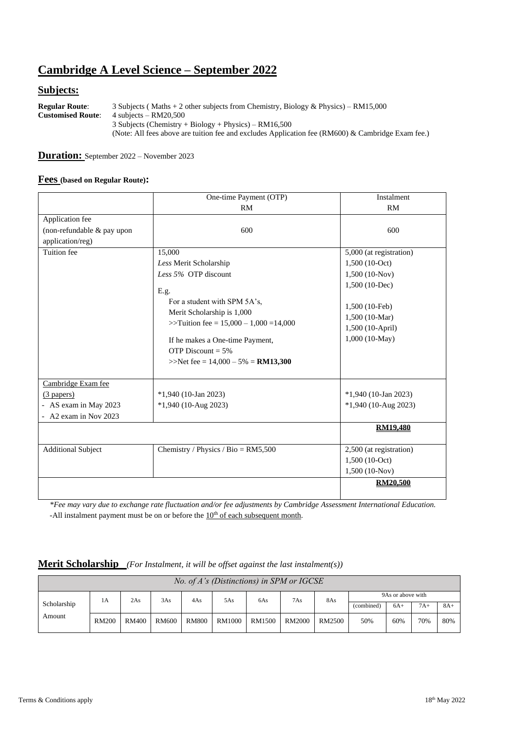# **Cambridge A Level Science – September 2022**

### **Subjects:**

**Regular Route**: 3 Subjects ( Maths + 2 other subjects from Chemistry, Biology & Physics) – RM15,000 Customised Route: 4 subjects – RM20,500 **Customised Route**: 4 subjects – RM20,500 3 Subjects (Chemistry + Biology + Physics) – RM16,500 (Note: All fees above are tuition fee and excludes Application fee (RM600) & Cambridge Exam fee.)

#### **Duration:** September 2022 – November 2023

#### **Fees (based on Regular Route):**

|                                                                                      | One-time Payment (OTP)                                                                                                                                                                                                                                                                   | Instalment                                                                                                                                                    |
|--------------------------------------------------------------------------------------|------------------------------------------------------------------------------------------------------------------------------------------------------------------------------------------------------------------------------------------------------------------------------------------|---------------------------------------------------------------------------------------------------------------------------------------------------------------|
|                                                                                      | RM                                                                                                                                                                                                                                                                                       | RM                                                                                                                                                            |
| Application fee<br>(non-refundable & pay upon<br>application/reg)                    | 600                                                                                                                                                                                                                                                                                      | 600                                                                                                                                                           |
| Tuition fee                                                                          | 15,000<br>Less Merit Scholarship<br>Less 5% OTP discount<br>E.g.<br>For a student with SPM 5A's,<br>Merit Scholarship is 1,000<br>$\gg$ Tuition fee = 15,000 - 1,000 = 14,000<br>If he makes a One-time Payment,<br>OTP Discount $= 5\%$<br>$>>$ Net fee = 14,000 – 5% = <b>RM13,300</b> | 5,000 (at registration)<br>$1,500(10-Oct)$<br>$1,500(10-Nov)$<br>$1,500(10 - Dec)$<br>$1,500(10-Feb)$<br>1,500 (10-Mar)<br>1,500 (10-April)<br>1,000 (10-May) |
| Cambridge Exam fee<br>$(3$ papers)<br>- AS exam in May 2023<br>- A2 exam in Nov 2023 | $*1,940$ (10-Jan 2023)<br>$*1,940$ (10-Aug 2023)                                                                                                                                                                                                                                         | $*1,940$ (10-Jan 2023)<br>$*1,940$ (10-Aug 2023)<br><b>RM19,480</b>                                                                                           |
| <b>Additional Subject</b>                                                            | Chemistry / Physics / Bio = $RM5,500$                                                                                                                                                                                                                                                    | 2,500 (at registration)<br>$1,500(10-Oct)$<br>$1,500(10-Nov)$<br>RM20,500                                                                                     |

*\*Fee may vary due to exchange rate fluctuation and/or fee adjustments by Cambridge Assessment International Education.* -All instalment payment must be on or before the  $10<sup>th</sup>$  of each subsequent month.

#### **Merit Scholarship** *(For Instalment, it will be offset against the last instalment(s))*

| No. of A's (Distinctions) in SPM or IGCSE |              |              |              |              |               |               |               |        |                   |       |       |
|-------------------------------------------|--------------|--------------|--------------|--------------|---------------|---------------|---------------|--------|-------------------|-------|-------|
| Scholarship<br>Amount                     | 1A           | 2As          | 3As          | 4As          | 5As           | 6As           | 7As           | 8As    | 9As or above with |       |       |
|                                           |              |              |              |              |               |               |               |        | (combined)        | $6A+$ | $7A+$ |
|                                           | <b>RM200</b> | <b>RM400</b> | <b>RM600</b> | <b>RM800</b> | <b>RM1000</b> | <b>RM1500</b> | <b>RM2000</b> | RM2500 | 50%               | 60%   | 70%   |